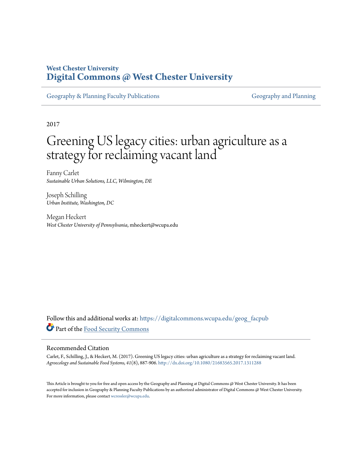# **West Chester University [Digital Commons @ West Chester University](https://digitalcommons.wcupa.edu?utm_source=digitalcommons.wcupa.edu%2Fgeog_facpub%2F20&utm_medium=PDF&utm_campaign=PDFCoverPages)**

[Geography & Planning Faculty Publications](https://digitalcommons.wcupa.edu/geog_facpub?utm_source=digitalcommons.wcupa.edu%2Fgeog_facpub%2F20&utm_medium=PDF&utm_campaign=PDFCoverPages) [Geography and Planning](https://digitalcommons.wcupa.edu/geog?utm_source=digitalcommons.wcupa.edu%2Fgeog_facpub%2F20&utm_medium=PDF&utm_campaign=PDFCoverPages)

2017

# Greening US legacy cities: urban agriculture as a strategy for reclaiming vacant land

Fanny Carlet *Sustainable Urban Solutions, LLC, Wilmington, DE*

Joseph Schilling *Urban Institute, Washington, DC*

Megan Heckert *West Chester University of Pennsylvania*, mheckert@wcupa.edu

Follow this and additional works at: [https://digitalcommons.wcupa.edu/geog\\_facpub](https://digitalcommons.wcupa.edu/geog_facpub?utm_source=digitalcommons.wcupa.edu%2Fgeog_facpub%2F20&utm_medium=PDF&utm_campaign=PDFCoverPages) Part of the [Food Security Commons](http://network.bepress.com/hgg/discipline/1332?utm_source=digitalcommons.wcupa.edu%2Fgeog_facpub%2F20&utm_medium=PDF&utm_campaign=PDFCoverPages)

#### Recommended Citation

Carlet, F., Schilling, J., & Heckert, M. (2017). Greening US legacy cities: urban agriculture as a strategy for reclaiming vacant land. *Agroecology and Sustainable Food Systems, 41*(8), 887-906. <http://dx.doi.org/10.1080/21683565.2017.1311288>

This Article is brought to you for free and open access by the Geography and Planning at Digital Commons @ West Chester University. It has been accepted for inclusion in Geography & Planning Faculty Publications by an authorized administrator of Digital Commons @ West Chester University. For more information, please contact [wcressler@wcupa.edu](mailto:wcressler@wcupa.edu).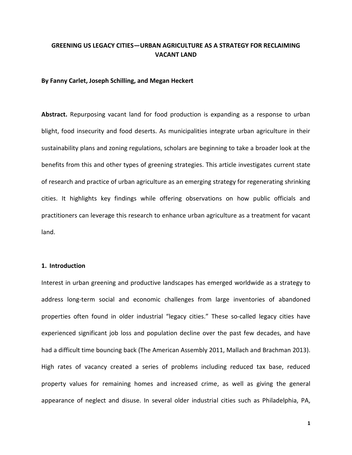# **GREENING US LEGACY CITIES—URBAN AGRICULTURE AS A STRATEGY FOR RECLAIMING VACANT LAND**

#### **By Fanny Carlet, Joseph Schilling, and Megan Heckert**

**Abstract.** Repurposing vacant land for food production is expanding as a response to urban blight, food insecurity and food deserts. As municipalities integrate urban agriculture in their sustainability plans and zoning regulations, scholars are beginning to take a broader look at the benefits from this and other types of greening strategies. This article investigates current state of research and practice of urban agriculture as an emerging strategy for regenerating shrinking cities. It highlights key findings while offering observations on how public officials and practitioners can leverage this research to enhance urban agriculture as a treatment for vacant land.

#### **1. Introduction**

Interest in urban greening and productive landscapes has emerged worldwide as a strategy to address long-term social and economic challenges from large inventories of abandoned properties often found in older industrial "legacy cities." These so-called legacy cities have experienced significant job loss and population decline over the past few decades, and have had a difficult time bouncing back (The American Assembly 2011, Mallach and Brachman 2013). High rates of vacancy created a series of problems including reduced tax base, reduced property values for remaining homes and increased crime, as well as giving the general appearance of neglect and disuse. In several older industrial cities such as Philadelphia, PA,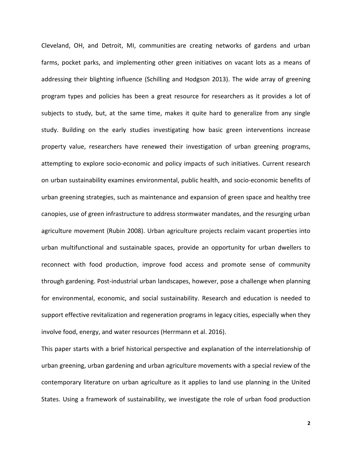Cleveland, OH, and Detroit, MI, communities are creating networks of gardens and urban farms, pocket parks, and implementing other green initiatives on vacant lots as a means of addressing their blighting influence (Schilling and Hodgson 2013). The wide array of greening program types and policies has been a great resource for researchers as it provides a lot of subjects to study, but, at the same time, makes it quite hard to generalize from any single study. Building on the early studies investigating how basic green interventions increase property value, researchers have renewed their investigation of urban greening programs, attempting to explore socio-economic and policy impacts of such initiatives. Current research on urban sustainability examines environmental, public health, and socio-economic benefits of urban greening strategies, such as maintenance and expansion of green space and healthy tree canopies, use of green infrastructure to address stormwater mandates, and the resurging urban agriculture movement (Rubin 2008). Urban agriculture projects reclaim vacant properties into urban multifunctional and sustainable spaces, provide an opportunity for urban dwellers to reconnect with food production, improve food access and promote sense of community through gardening. Post-industrial urban landscapes, however, pose a challenge when planning for environmental, economic, and social sustainability. Research and education is needed to support effective revitalization and regeneration programs in legacy cities, especially when they involve food, energy, and water resources (Herrmann et al. 2016).

This paper starts with a brief historical perspective and explanation of the interrelationship of urban greening, urban gardening and urban agriculture movements with a special review of the contemporary literature on urban agriculture as it applies to land use planning in the United States. Using a framework of sustainability, we investigate the role of urban food production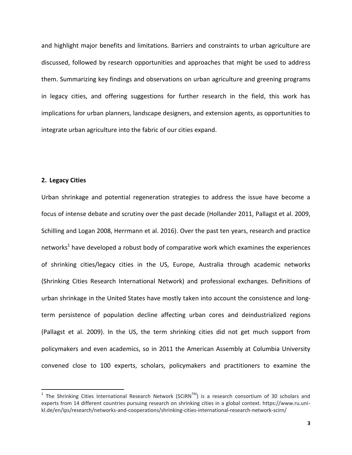and highlight major benefits and limitations. Barriers and constraints to urban agriculture are discussed, followed by research opportunities and approaches that might be used to address them. Summarizing key findings and observations on urban agriculture and greening programs in legacy cities, and offering suggestions for further research in the field, this work has implications for urban planners, landscape designers, and extension agents, as opportunities to integrate urban agriculture into the fabric of our cities expand.

## **2. Legacy Cities**

 $\overline{\phantom{a}}$ 

Urban shrinkage and potential regeneration strategies to address the issue have become a focus of intense debate and scrutiny over the past decade (Hollander 2011, Pallagst et al. 2009, Schilling and Logan 2008, Herrmann et al. 2016). Over the past ten years, research and practice networks<sup>1</sup> have developed a robust body of comparative work which examines the experiences of shrinking cities/legacy cities in the US, Europe, Australia through academic networks (Shrinking Cities Research International Network) and professional exchanges. Definitions of urban shrinkage in the United States have mostly taken into account the consistence and longterm persistence of population decline affecting urban cores and deindustrialized regions (Pallagst et al. 2009). In the US, the term shrinking cities did not get much support from policymakers and even academics, so in 2011 the American Assembly at Columbia University convened close to 100 experts, scholars, policymakers and practitioners to examine the

<sup>&</sup>lt;sup>1</sup> The Shrinking Cities International Research Network (SCiRN<sup>TM</sup>) is a research consortium of 30 scholars and experts from 14 different countries pursuing research on shrinking cities in a global context. https://www.ru.unikl.de/en/ips/research/networks-and-cooperations/shrinking-cities-international-research-network-scirn/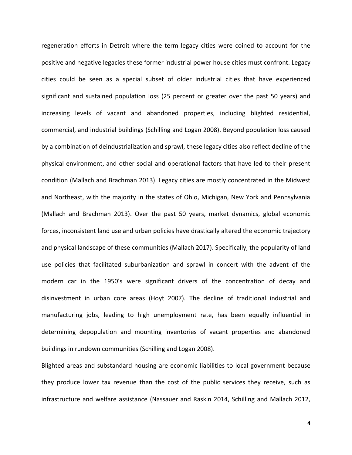regeneration efforts in Detroit where the term legacy cities were coined to account for the positive and negative legacies these former industrial power house cities must confront. Legacy cities could be seen as a special subset of older industrial cities that have experienced significant and sustained population loss (25 percent or greater over the past 50 years) and increasing levels of vacant and abandoned properties, including blighted residential, commercial, and industrial buildings (Schilling and Logan 2008). Beyond population loss caused by a combination of deindustrialization and sprawl, these legacy cities also reflect decline of the physical environment, and other social and operational factors that have led to their present condition (Mallach and Brachman 2013). Legacy cities are mostly concentrated in the Midwest and Northeast, with the majority in the states of Ohio, Michigan, New York and Pennsylvania (Mallach and Brachman 2013). Over the past 50 years, market dynamics, global economic forces, inconsistent land use and urban policies have drastically altered the economic trajectory and physical landscape of these communities (Mallach 2017). Specifically, the popularity of land use policies that facilitated suburbanization and sprawl in concert with the advent of the modern car in the 1950's were significant drivers of the concentration of decay and disinvestment in urban core areas (Hoyt 2007). The decline of traditional industrial and manufacturing jobs, leading to high unemployment rate, has been equally influential in determining depopulation and mounting inventories of vacant properties and abandoned buildings in rundown communities (Schilling and Logan 2008).

Blighted areas and substandard housing are economic liabilities to local government because they produce lower tax revenue than the cost of the public services they receive, such as infrastructure and welfare assistance (Nassauer and Raskin 2014, Schilling and Mallach 2012,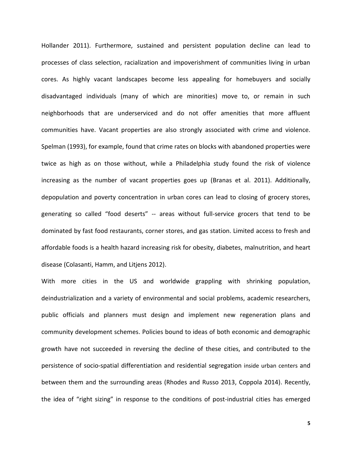Hollander 2011). Furthermore, sustained and persistent population decline can lead to processes of class selection, racialization and impoverishment of communities living in urban cores. As highly vacant landscapes become less appealing for homebuyers and socially disadvantaged individuals (many of which are minorities) move to, or remain in such neighborhoods that are underserviced and do not offer amenities that more affluent communities have. Vacant properties are also strongly associated with crime and violence. Spelman (1993), for example, found that crime rates on blocks with abandoned properties were twice as high as on those without, while a Philadelphia study found the risk of violence increasing as the number of vacant properties goes up (Branas et al. 2011). Additionally, depopulation and poverty concentration in urban cores can lead to closing of grocery stores, generating so called "food deserts" -- areas without full-service grocers that tend to be dominated by fast food restaurants, corner stores, and gas station. Limited access to fresh and affordable foods is a health hazard increasing risk for obesity, diabetes, malnutrition, and heart disease (Colasanti, Hamm, and Litjens 2012).

With more cities in the US and worldwide grappling with shrinking population, deindustrialization and a variety of environmental and social problems, academic researchers, public officials and planners must design and implement new regeneration plans and community development schemes. Policies bound to ideas of both economic and demographic growth have not succeeded in reversing the decline of these cities, and contributed to the persistence of [socio-spatial differentiation and residential segregation](https://www.google.it/url?sa=t&rct=j&q=&esrc=s&source=web&cd=5&cad=rja&uact=8&ved=0ahUKEwi2o5HQi-zOAhWJ0RoKHVGtB08QFgg5MAQ&url=http%3A%2F%2Fwww.sciencedirect.com%2Fscience%2Farticle%2Fpii%2FS0264275114000341&usg=AFQjCNEW8_H8SQ0cvd0HeECEiSMfNqN93g&sig2=7S5lhO3crcCJwHQhn2SdpA&bvm=bv.131286987,d.bGs) inside urban centers and between them and the surrounding areas (Rhodes and Russo 2013, Coppola 2014). Recently, the idea of "right sizing" in response to the conditions of post-industrial cities has emerged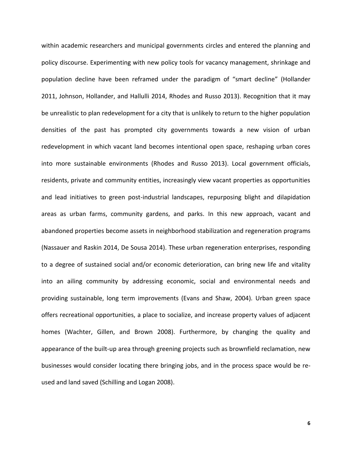within academic researchers and municipal governments circles and entered the planning and policy discourse. Experimenting with new policy tools for vacancy management, shrinkage and population decline have been reframed under the paradigm of "smart decline" (Hollander 2011, Johnson, Hollander, and Hallulli 2014, Rhodes and Russo 2013). Recognition that it may be unrealistic to plan redevelopment for a city that is unlikely to return to the higher population densities of the past has prompted city governments towards a new vision of urban redevelopment in which vacant land becomes intentional open space, reshaping urban cores into more sustainable environments (Rhodes and Russo 2013). Local government officials, residents, private and community entities, increasingly view vacant properties as opportunities and lead initiatives to green post-industrial landscapes, repurposing blight and dilapidation areas as urban farms, community gardens, and parks. In this new approach, vacant and abandoned properties become assets in neighborhood stabilization and regeneration programs (Nassauer and Raskin 2014, De Sousa 2014). These urban regeneration enterprises, responding to a degree of sustained social and/or economic deterioration, can bring new life and vitality into an ailing community by addressing economic, social and environmental needs and providing sustainable, long term improvements (Evans and Shaw, 2004). Urban green space offers recreational opportunities, a place to socialize, and increase property values of adjacent homes (Wachter, Gillen, and Brown 2008). Furthermore, by changing the quality and appearance of the built-up area through greening projects such as brownfield reclamation, new businesses would consider locating there bringing jobs, and in the process space would be reused and land saved (Schilling and Logan 2008).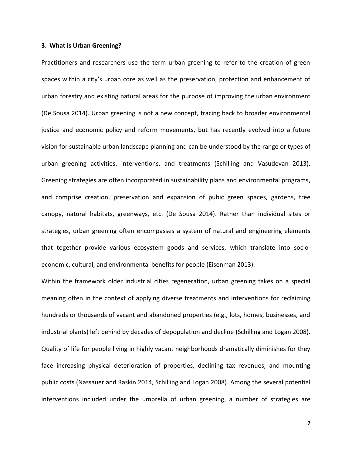#### **3. What is Urban Greening?**

Practitioners and researchers use the term urban greening to refer to the creation of green spaces within a city's urban core as well as the preservation, protection and enhancement of urban forestry and existing natural areas for the purpose of improving the urban environment (De Sousa 2014). Urban greening is not a new concept, tracing back to broader environmental justice and economic policy and reform movements, but has recently evolved into a future vision for sustainable urban landscape planning and can be understood by the range or types of urban greening activities, interventions, and treatments (Schilling and Vasudevan 2013). Greening strategies are often incorporated in sustainability plans and environmental programs, and comprise creation, preservation and expansion of pubic green spaces, gardens, tree canopy, natural habitats, greenways, etc. (De Sousa 2014). Rather than individual sites or strategies, urban greening often encompasses a system of natural and engineering elements that together provide various ecosystem goods and services, which translate into socioeconomic, cultural, and environmental benefits for people (Eisenman 2013).

Within the framework older industrial cities regeneration, urban greening takes on a special meaning often in the context of applying diverse treatments and interventions for reclaiming hundreds or thousands of vacant and abandoned properties (e.g., lots, homes, businesses, and industrial plants) left behind by decades of depopulation and decline (Schilling and Logan 2008). Quality of life for people living in highly vacant neighborhoods dramatically diminishes for they face increasing physical deterioration of properties, declining tax revenues, and mounting public costs (Nassauer and Raskin 2014, Schilling and Logan 2008). Among the several potential interventions included under the umbrella of urban greening, a number of strategies are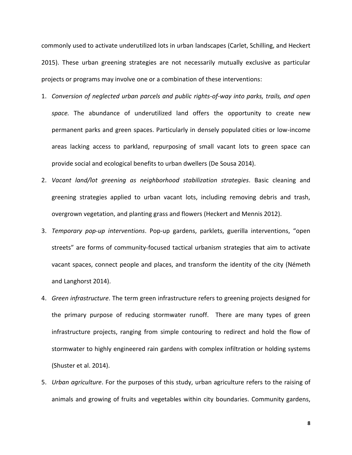commonly used to activate underutilized lots in urban landscapes (Carlet, Schilling, and Heckert 2015). These urban greening strategies are not necessarily mutually exclusive as particular projects or programs may involve one or a combination of these interventions:

- 1. *Conversion of neglected urban parcels and public rights-of-way into parks, trails, and open space.* The abundance of underutilized land offers the opportunity to create new permanent parks and green spaces. Particularly in densely populated cities or low-income areas lacking access to parkland, repurposing of small vacant lots to green space can provide social and ecological benefits to urban dwellers (De Sousa 2014).
- 2. *Vacant land/lot greening as neighborhood stabilization strategies*. Basic cleaning and greening strategies applied to urban vacant lots, including removing debris and trash, overgrown vegetation, and planting grass and flowers (Heckert and Mennis 2012).
- 3. *Temporary pop-up interventions*. Pop-up gardens, parklets, guerilla interventions, "open streets" are forms of community-focused tactical urbanism strategies that aim to activate vacant spaces, connect people and places, and transform the identity of the city (Németh and Langhorst 2014).
- 4. *Green infrastructure*. The term green infrastructure refers to greening projects designed for the primary purpose of reducing stormwater runoff. There are many types of green infrastructure projects, ranging from simple contouring to redirect and hold the flow of stormwater to highly engineered rain gardens with complex infiltration or holding systems (Shuster et al. 2014).
- 5. *Urban agriculture*. For the purposes of this study, urban agriculture refers to the raising of animals and growing of fruits and vegetables within city boundaries. Community gardens,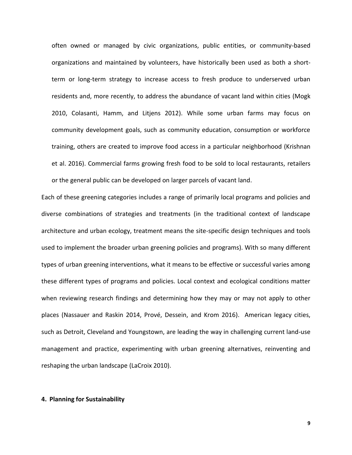often owned or managed by civic organizations, public entities, or community-based organizations and maintained by volunteers, have historically been used as both a shortterm or long-term strategy to increase access to fresh produce to underserved urban residents and, more recently, to address the abundance of vacant land within cities (Mogk 2010, Colasanti, Hamm, and Litjens 2012). While some urban farms may focus on community development goals, such as community education, consumption or workforce training, others are created to improve food access in a particular neighborhood (Krishnan et al. 2016). Commercial farms growing fresh food to be sold to local restaurants, retailers or the general public can be developed on larger parcels of vacant land.

Each of these greening categories includes a range of primarily local programs and policies and diverse combinations of strategies and treatments (in the traditional context of landscape architecture and urban ecology, treatment means the site-specific design techniques and tools used to implement the broader urban greening policies and programs). With so many different types of urban greening interventions, what it means to be effective or successful varies among these different types of programs and policies. Local context and ecological conditions matter when reviewing research findings and determining how they may or may not apply to other places (Nassauer and Raskin 2014, Prové, Dessein, and Krom 2016). American legacy cities, such as Detroit, Cleveland and Youngstown, are leading the way in challenging current land-use management and practice, experimenting with urban greening alternatives, reinventing and reshaping the urban landscape (LaCroix 2010).

#### **4. Planning for Sustainability**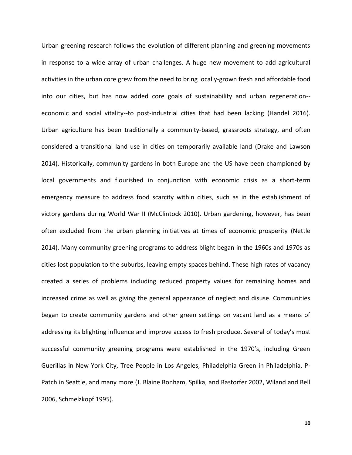Urban greening research follows the evolution of different planning and greening movements in response to a wide array of urban challenges. A huge new movement to add agricultural activities in the urban core grew from the need to bring locally-grown fresh and affordable food into our cities, but has now added core goals of sustainability and urban regeneration- economic and social vitality--to post-industrial cities that had been lacking (Handel 2016). Urban agriculture has been traditionally a community-based, grassroots strategy, and often considered a transitional land use in cities on temporarily available land (Drake and Lawson 2014). Historically, community gardens in both Europe and the US have been championed by local governments and flourished in conjunction with economic crisis as a short-term emergency measure to address food scarcity within cities, such as in the establishment of victory gardens during World War II (McClintock 2010). Urban gardening, however, has been often excluded from the urban planning initiatives at times of economic prosperity (Nettle 2014). Many community greening programs to address blight began in the 1960s and 1970s as cities lost population to the suburbs, leaving empty spaces behind. These high rates of vacancy created a series of problems including reduced property values for remaining homes and increased crime as well as giving the general appearance of neglect and disuse. Communities began to create community gardens and other green settings on vacant land as a means of addressing its blighting influence and improve access to fresh produce. Several of today's most successful community greening programs were established in the 1970's, including Green Guerillas in New York City, Tree People in Los Angeles, Philadelphia Green in Philadelphia, P-Patch in Seattle, and many more (J. Blaine Bonham, Spilka, and Rastorfer 2002, Wiland and Bell 2006, Schmelzkopf 1995).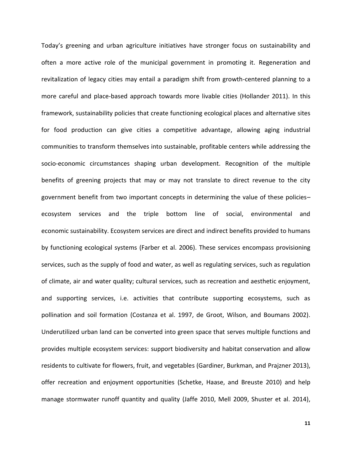Today's greening and urban agriculture initiatives have stronger focus on sustainability and often a more active role of the municipal government in promoting it. Regeneration and revitalization of legacy cities may entail a paradigm shift from growth-centered planning to a more careful and place-based approach towards more livable cities (Hollander 2011). In this framework, sustainability policies that create functioning ecological places and alternative sites for food production can give cities a competitive advantage, allowing aging industrial communities to transform themselves into sustainable, profitable centers while addressing the socio-economic circumstances shaping urban development. Recognition of the multiple benefits of greening projects that may or may not translate to direct revenue to the city government benefit from two important concepts in determining the value of these policies– ecosystem services and the triple bottom line of social, environmental and economic sustainability. Ecosystem services are direct and indirect benefits provided to humans by functioning ecological systems (Farber et al. 2006). These services encompass provisioning services, such as the supply of food and water, as well as regulating services, such as regulation of climate, air and water quality; cultural services, such as recreation and aesthetic enjoyment, and supporting services, i.e. activities that contribute supporting ecosystems, such as pollination and soil formation (Costanza et al. 1997, de Groot, Wilson, and Boumans 2002). Underutilized urban land can be converted into green space that serves multiple functions and provides multiple ecosystem services: support biodiversity and habitat conservation and allow residents to cultivate for flowers, fruit, and vegetables (Gardiner, Burkman, and Prajzner 2013), offer recreation and enjoyment opportunities (Schetke, Haase, and Breuste 2010) and help manage stormwater runoff quantity and quality (Jaffe 2010, Mell 2009, Shuster et al. 2014),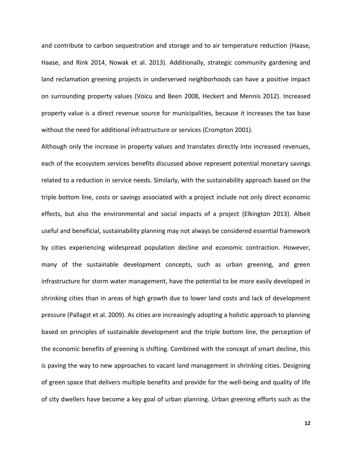and contribute to carbon sequestration and storage and to air temperature reduction (Haase, Haase, and Rink 2014, Nowak et al. 2013). Additionally, strategic community gardening and land reclamation greening projects in underserved neighborhoods can have a positive impact on surrounding property values (Voicu and Been 2008, Heckert and Mennis 2012). Increased property value is a direct revenue source for municipalities, because it increases the tax base without the need for additional infrastructure or services (Crompton 2001).

Although only the increase in property values and translates directly into increased revenues, each of the ecosystem services benefits discussed above represent potential monetary savings related to a reduction in service needs. Similarly, with the sustainability approach based on the triple bottom line, costs or savings associated with a project include not only direct economic effects, but also the environmental and social impacts of a project (Elkington 2013). Albeit useful and beneficial, sustainability planning may not always be considered essential framework by cities experiencing widespread population decline and economic contraction. However, many of the sustainable development concepts, such as urban greening, and green infrastructure for storm water management, have the potential to be more easily developed in shrinking cities than in areas of high growth due to lower land costs and lack of development pressure (Pallagst et al. 2009). As cities are increasingly adopting a holistic approach to planning based on principles of sustainable development and the triple bottom line, the perception of the economic benefits of greening is shifting. Combined with the concept of smart decline, this is paving the way to new approaches to vacant land management in shrinking cities. Designing of green space that delivers multiple benefits and provide for the well-being and quality of life of city dwellers have become a key goal of urban planning. Urban greening efforts such as the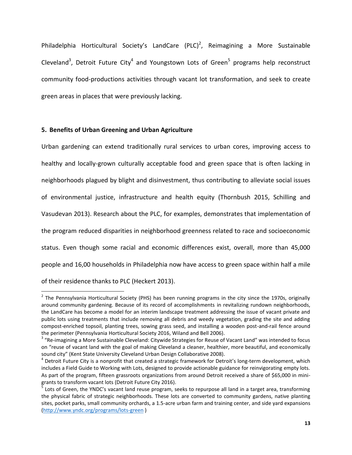Philadelphia Horticultural Society's LandCare  $(PLC)^2$ , Reimagining a More Sustainable Cleveland<sup>3</sup>, Detroit Future City<sup>4</sup> and Youngstown Lots of Green<sup>5</sup> programs help reconstruct community food-productions activities through vacant lot transformation, and seek to create green areas in places that were previously lacking.

# **5. Benefits of Urban Greening and Urban Agriculture**

Urban gardening can extend traditionally rural services to urban cores, improving access to healthy and locally-grown culturally acceptable food and green space that is often lacking in neighborhoods plagued by blight and disinvestment, thus contributing to alleviate social issues of environmental justice, infrastructure and health equity (Thornbush 2015, Schilling and Vasudevan 2013). Research about the PLC, for examples, demonstrates that implementation of the program reduced disparities in neighborhood greenness related to race and socioeconomic status. Even though some racial and economic differences exist, overall, more than 45,000 people and 16,00 households in Philadelphia now have access to green space within half a mile of their residence thanks to PLC (Heckert 2013).

 2 The Pennsylvania Horticultural Society (PHS) has been running programs in the city since the 1970s, originally around community gardening. Because of its record of accomplishments in revitalizing rundown neighborhoods, the LandCare has become a model for an interim landscape treatment addressing the issue of vacant private and public lots using treatments that include removing all debris and weedy vegetation, grading the site and adding compost-enriched topsoil, planting trees, sowing grass seed, and installing a wooden post-and-rail fence around the perimeter (Pennsylvania Horticultural Society 2016, Wiland and Bell 2006).

<sup>&</sup>lt;sup>3</sup> "Re-imagining a More Sustainable Cleveland: Citywide Strategies for Reuse of Vacant Land" was intended to focus on "reuse of vacant land with the goal of making Cleveland a cleaner, healthier, more beautiful, and economically sound city" (Kent State University Cleveland Urban Design Collaborative 2008).

<sup>&</sup>lt;sup>4</sup> Detroit Future City is a nonprofit that created a strategic framework for Detroit's long-term development, which includes a Field Guide to Working with Lots, designed to provide actionable guidance for reinvigorating empty lots. As part of the program, fifteen grassroots organizations from around Detroit received a share of \$65,000 in minigrants to transform vacant lots (Detroit Future City 2016).

<sup>&</sup>lt;sup>5</sup> Lots of Green, the YNDC's vacant land reuse program, seeks to repurpose all land in a target area, transforming the physical fabric of strategic neighborhoods. These lots are converted to community gardens, native planting sites, pocket parks, small community orchards, a 1.5-acre urban farm and training center, and side yard expansions [\(http://www.yndc.org/programs/lots-green](http://www.yndc.org/programs/lots-green) )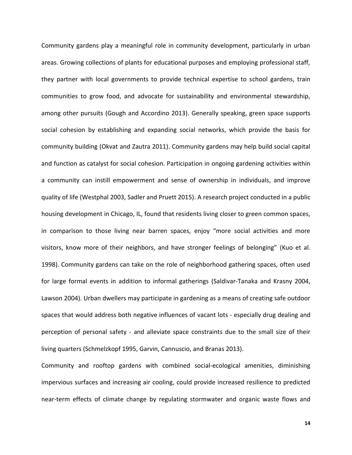Community gardens play a meaningful role in community development, particularly in urban areas. Growing collections of plants for educational purposes and employing professional staff, they partner with local governments to provide technical expertise to school gardens, train communities to grow food, and advocate for sustainability and environmental stewardship, among other pursuits (Gough and Accordino 2013). Generally speaking, green space supports social cohesion by establishing and expanding social networks, which provide the basis for community building (Okvat and Zautra 2011). Community gardens may help build social capital and function as catalyst for social cohesion. Participation in ongoing gardening activities within a community can instill empowerment and sense of ownership in individuals, and improve quality of life (Westphal 2003, Sadler and Pruett 2015). A research project conducted in a public housing development in Chicago, IL, found that residents living closer to green common spaces, in comparison to those living near barren spaces, enjoy "more social activities and more visitors, know more of their neighbors, and have stronger feelings of belonging" (Kuo et al. 1998). Community gardens can take on the role of neighborhood gathering spaces, often used for large formal events in addition to informal gatherings (Saldivar-Tanaka and Krasny 2004, Lawson 2004). Urban dwellers may participate in gardening as a means of creating safe outdoor spaces that would address both negative influences of vacant lots - especially drug dealing and perception of personal safety - and alleviate space constraints due to the small size of their living quarters (Schmelzkopf 1995, Garvin, Cannuscio, and Branas 2013).

Community and rooftop gardens with combined social-ecological amenities, diminishing impervious surfaces and increasing air cooling, could provide increased resilience to predicted near-term effects of climate change by regulating stormwater and organic waste flows and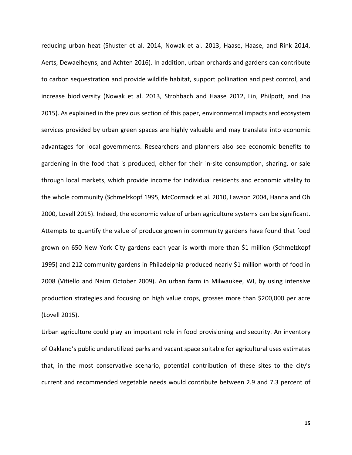reducing urban heat (Shuster et al. 2014, Nowak et al. 2013, Haase, Haase, and Rink 2014, Aerts, Dewaelheyns, and Achten 2016). In addition, urban orchards and gardens can contribute to carbon sequestration and provide wildlife habitat, support pollination and pest control, and increase biodiversity (Nowak et al. 2013, Strohbach and Haase 2012, Lin, Philpott, and Jha 2015). As explained in the previous section of this paper, environmental impacts and ecosystem services provided by urban green spaces are highly valuable and may translate into economic advantages for local governments. Researchers and planners also see economic benefits to gardening in the food that is produced, either for their in-site consumption, sharing, or sale through local markets, which provide income for individual residents and economic vitality to the whole community (Schmelzkopf 1995, McCormack et al. 2010, Lawson 2004, Hanna and Oh 2000, Lovell 2015). Indeed, the economic value of urban agriculture systems can be significant. Attempts to quantify the value of produce grown in community gardens have found that food grown on 650 New York City gardens each year is worth more than \$1 million (Schmelzkopf 1995) and 212 community gardens in Philadelphia produced nearly \$1 million worth of food in 2008 (Vitiello and Nairn October 2009). An urban farm in Milwaukee, WI, by using intensive production strategies and focusing on high value crops, grosses more than \$200,000 per acre (Lovell 2015).

Urban agriculture could play an important role in food provisioning and security. An inventory of Oakland's public underutilized parks and vacant space suitable for agricultural uses estimates that, in the most conservative scenario, potential contribution of these sites to the city's current and recommended vegetable needs would contribute between 2.9 and 7.3 percent of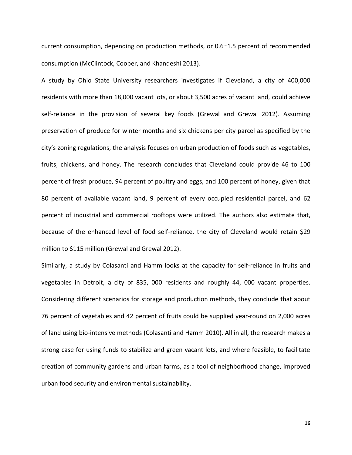current consumption, depending on production methods, or 0.6–1.5 percent of recommended consumption (McClintock, Cooper, and Khandeshi 2013).

A study by Ohio State University researchers investigates if Cleveland, a city of 400,000 residents with more than 18,000 vacant lots, or about 3,500 acres of vacant land, could achieve self-reliance in the provision of several key foods (Grewal and Grewal 2012). Assuming preservation of produce for winter months and six chickens per city parcel as specified by the city's zoning regulations, the analysis focuses on urban production of foods such as vegetables, fruits, chickens, and honey. The research concludes that Cleveland could provide 46 to 100 percent of fresh produce, 94 percent of poultry and eggs, and 100 percent of honey, given that 80 percent of available vacant land, 9 percent of every occupied residential parcel, and 62 percent of industrial and commercial rooftops were utilized. The authors also estimate that, because of the enhanced level of food self-reliance, the city of Cleveland would retain \$29 million to \$115 million (Grewal and Grewal 2012).

Similarly, a study by Colasanti and Hamm looks at the capacity for self-reliance in fruits and vegetables in Detroit, a city of 835, 000 residents and roughly 44, 000 vacant properties. Considering different scenarios for storage and production methods, they conclude that about 76 percent of vegetables and 42 percent of fruits could be supplied year-round on 2,000 acres of land using bio-intensive methods (Colasanti and Hamm 2010). All in all, the research makes a strong case for using funds to stabilize and green vacant lots, and where feasible, to facilitate creation of community gardens and urban farms, as a tool of neighborhood change, improved urban food security and environmental sustainability.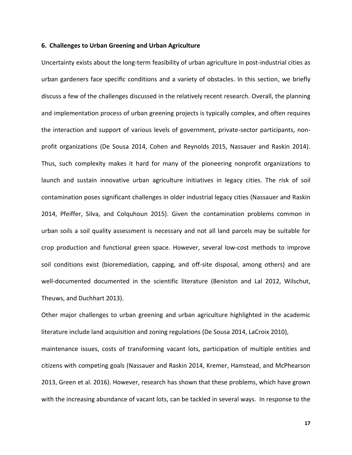#### **6. Challenges to Urban Greening and Urban Agriculture**

Uncertainty exists about the long-term feasibility of urban agriculture in post-industrial cities as urban gardeners face specific conditions and a variety of obstacles. In this section, we briefly discuss a few of the challenges discussed in the relatively recent research. Overall, the planning and implementation process of urban greening projects is typically complex, and often requires the interaction and support of various levels of government, private-sector participants, nonprofit organizations (De Sousa 2014, Cohen and Reynolds 2015, Nassauer and Raskin 2014). Thus, such complexity makes it hard for many of the pioneering nonprofit organizations to launch and sustain innovative urban agriculture initiatives in legacy cities. The risk of soil contamination poses significant challenges in older industrial legacy cities (Nassauer and Raskin 2014, Pfeiffer, Silva, and Colquhoun 2015). Given the contamination problems common in urban soils a soil quality assessment is necessary and not all land parcels may be suitable for crop production and functional green space. However, several low-cost methods to improve soil conditions exist (bioremediation, capping, and off-site disposal, among others) and are well-documented documented in the scientific literature (Beniston and Lal 2012, Wilschut, Theuws, and Duchhart 2013).

Other major challenges to urban greening and urban agriculture highlighted in the academic literature include land acquisition and zoning regulations (De Sousa 2014, LaCroix 2010), maintenance issues, costs of transforming vacant lots, participation of multiple entities and citizens with competing goals (Nassauer and Raskin 2014, Kremer, Hamstead, and McPhearson 2013, Green et al. 2016). However, research has shown that these problems, which have grown with the increasing abundance of vacant lots, can be tackled in several ways. In response to the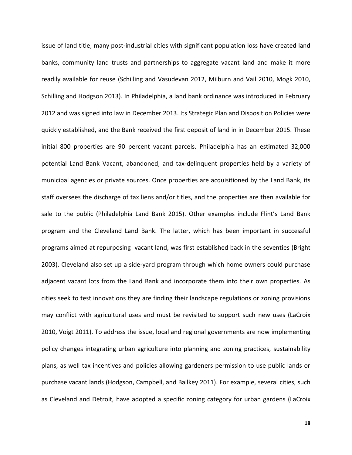issue of land title, many post-industrial cities with significant population loss have created land banks, community land trusts and partnerships to aggregate vacant land and make it more readily available for reuse (Schilling and Vasudevan 2012, Milburn and Vail 2010, Mogk 2010, Schilling and Hodgson 2013). In Philadelphia, a land bank ordinance was introduced in February 2012 and was signed into law in December 2013. Its Strategic Plan and Disposition Policies were quickly established, and the Bank received the first deposit of land in in December 2015. These initial 800 properties are 90 percent vacant parcels. Philadelphia has an estimated 32,000 potential Land Bank Vacant, abandoned, and tax-delinquent properties held by a variety of municipal agencies or private sources. Once properties are acquisitioned by the Land Bank, its staff oversees the discharge of tax liens and/or titles, and the properties are then available for sale to the public (Philadelphia Land Bank 2015). Other examples include Flint's Land Bank program and the Cleveland Land Bank. The latter, which has been important in successful programs aimed at repurposing vacant land, was first established back in the seventies (Bright 2003). Cleveland also set up a side-yard program through which home owners could purchase adjacent vacant lots from the Land Bank and incorporate them into their own properties. As cities seek to test innovations they are finding their landscape regulations or zoning provisions may conflict with agricultural uses and must be revisited to support such new uses (LaCroix 2010, Voigt 2011). To address the issue, local and regional governments are now implementing policy changes integrating urban agriculture into planning and zoning practices, sustainability plans, as well tax incentives and policies allowing gardeners permission to use public lands or purchase vacant lands (Hodgson, Campbell, and Bailkey 2011). For example, several cities, such as Cleveland and Detroit, have adopted a specific zoning category for urban gardens (LaCroix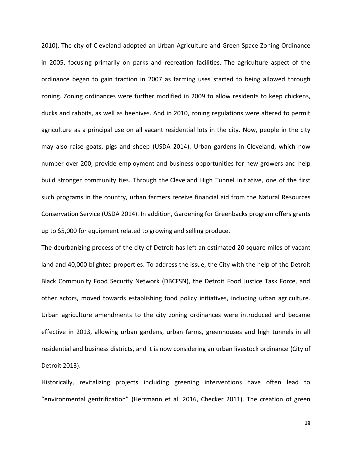2010). The city of Cleveland adopted an Urban Agriculture and Green Space Zoning Ordinance in 2005, focusing primarily on parks and recreation facilities. The agriculture aspect of the ordinance began to gain traction in 2007 as farming uses started to being allowed through zoning. Zoning ordinances were further modified in 2009 to allow residents to keep chickens, ducks and rabbits, as well as beehives. And in 2010, zoning regulations were altered to permit agriculture as a principal use on all vacant residential lots in the city. Now, people in the city may also raise goats, pigs and sheep (USDA 2014). Urban gardens in Cleveland, which now number over 200, provide employment and business opportunities for new growers and help build stronger community ties. Through the [Cleveland High Tunnel i](http://www.nrcs.usda.gov/wps/portal/nrcs/detail/oh/programs/?cid=nrcs144p2_029508)nitiative, one of the first such programs in the country, urban farmers receive financial aid from the Natural Resources Conservation Service (USDA 2014). In addition, Gardening for Greenbacks program offers grants up to \$5,000 for equipment related to growing and selling produce.

The deurbanizing process of the city of Detroit has left an estimated 20 square miles of vacant land and 40,000 blighted properties. To address the issue, the City with the help of the Detroit Black Community Food Security Network (DBCFSN), the Detroit Food Justice Task Force, and other actors, moved towards establishing food policy initiatives, including urban agriculture. Urban agriculture amendments to the city zoning ordinances were introduced and became effective in 2013, allowing urban gardens, urban farms, greenhouses and high tunnels in all residential and business districts, and it is now considering an urban livestock ordinance (City of Detroit 2013).

Historically, revitalizing projects including greening interventions have often lead to "environmental gentrification" (Herrmann et al. 2016, Checker 2011). The creation of green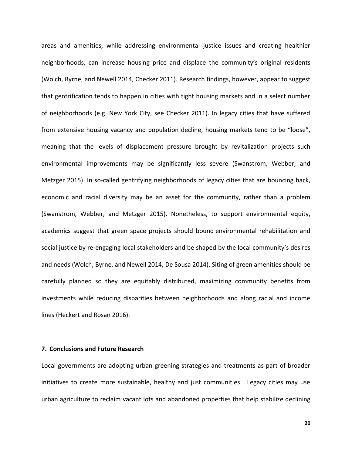areas and amenities, while addressing environmental justice issues and creating healthier neighborhoods, can increase housing price and displace the community's original residents (Wolch, Byrne, and Newell 2014, Checker 2011). Research findings, however, appear to suggest that gentrification tends to happen in cities with tight housing markets and in a select number of neighborhoods (e.g. New York City, see Checker 2011). In legacy cities that have suffered from extensive housing vacancy and population decline, housing markets tend to be "loose", meaning that the levels of displacement pressure brought by revitalization projects such environmental improvements may be significantly less severe (Swanstrom, Webber, and Metzger 2015). In so-called gentrifying neighborhoods of legacy cities that are bouncing back, economic and racial diversity may be an asset for the community, rather than a problem (Swanstrom, Webber, and Metzger 2015). Nonetheless, to support environmental equity, academics suggest that green space projects should bound environmental rehabilitation and social justice by re-engaging local stakeholders and be shaped by the local community's desires and needs (Wolch, Byrne, and Newell 2014, De Sousa 2014). Siting of green amenities should be carefully planned so they are equitably distributed, maximizing community benefits from investments while reducing disparities between neighborhoods and along racial and income lines (Heckert and Rosan 2016).

# **7. Conclusions and Future Research**

Local governments are adopting urban greening strategies and treatments as part of broader initiatives to create more sustainable, healthy and just communities. Legacy cities may use urban agriculture to reclaim vacant lots and abandoned properties that help stabilize declining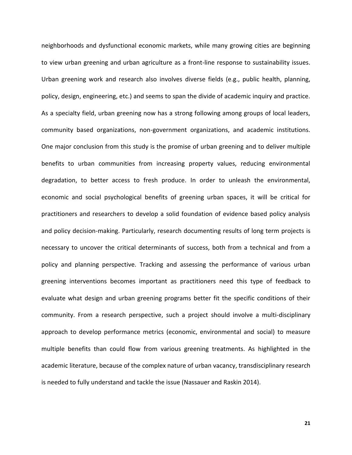neighborhoods and dysfunctional economic markets, while many growing cities are beginning to view urban greening and urban agriculture as a front-line response to sustainability issues. Urban greening work and research also involves diverse fields (e.g., public health, planning, policy, design, engineering, etc.) and seems to span the divide of academic inquiry and practice. As a specialty field, urban greening now has a strong following among groups of local leaders, community based organizations, non-government organizations, and academic institutions*.*  One major conclusion from this study is the promise of urban greening and to deliver multiple benefits to urban communities from increasing property values, reducing environmental degradation, to better access to fresh produce. In order to unleash the environmental, economic and social psychological benefits of greening urban spaces, it will be critical for practitioners and researchers to develop a solid foundation of evidence based policy analysis and policy decision-making. Particularly, research documenting results of long term projects is necessary to uncover the critical determinants of success, both from a technical and from a policy and planning perspective. Tracking and assessing the performance of various urban greening interventions becomes important as practitioners need this type of feedback to evaluate what design and urban greening programs better fit the specific conditions of their community. From a research perspective, such a project should involve a multi-disciplinary approach to develop performance metrics (economic, environmental and social) to measure multiple benefits than could flow from various greening treatments. As highlighted in the academic literature, because of the complex nature of urban vacancy, transdisciplinary research is needed to fully understand and tackle the issue (Nassauer and Raskin 2014).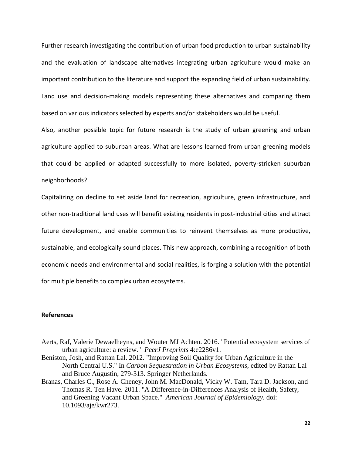Further research investigating the contribution of urban food production to urban sustainability and the evaluation of landscape alternatives integrating urban agriculture would make an important contribution to the literature and support the expanding field of urban sustainability. Land use and decision-making models representing these alternatives and comparing them based on various indicators selected by experts and/or stakeholders would be useful.

Also, another possible topic for future research is the study of urban greening and urban agriculture applied to suburban areas. What are lessons learned from urban greening models that could be applied or adapted successfully to more isolated, poverty-stricken suburban neighborhoods?

Capitalizing on decline to set aside land for recreation, agriculture, green infrastructure, and other non-traditional land uses will benefit existing residents in post-industrial cities and attract future development, and enable communities to reinvent themselves as more productive, sustainable, and ecologically sound places. This new approach, combining a recognition of both economic needs and environmental and social realities, is forging a solution with the potential for multiple benefits to complex urban ecosystems.

#### **References**

- Aerts, Raf, Valerie Dewaelheyns, and Wouter MJ Achten. 2016. "Potential ecosystem services of urban agriculture: a review." *PeerJ Preprints* 4:e2286v1.
- Beniston, Josh, and Rattan Lal. 2012. "Improving Soil Quality for Urban Agriculture in the North Central U.S." In *Carbon Sequestration in Urban Ecosystems*, edited by Rattan Lal and Bruce Augustin, 279-313. Springer Netherlands.
- Branas, Charles C., Rose A. Cheney, John M. MacDonald, Vicky W. Tam, Tara D. Jackson, and Thomas R. Ten Have. 2011. "A Difference-in-Differences Analysis of Health, Safety, and Greening Vacant Urban Space." *American Journal of Epidemiology*. doi: 10.1093/aje/kwr273.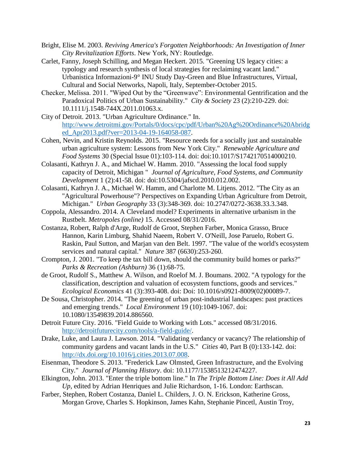- Bright, Elise M. 2003. *Reviving America's Forgotten Neighborhoods: An Investigation of Inner City Revitalization Efforts*. New York, NY: Routledge.
- Carlet, Fanny, Joseph Schilling, and Megan Heckert. 2015. "Greening US legacy cities: a typology and research synthesis of local strategies for reclaiming vacant land." Urbanistica Informazioni-9° INU Study Day-Green and Blue Infrastructures, Virtual, Cultural and Social Networks, Napoli, Italy, September-October 2015.
- Checker, Melissa. 2011. "Wiped Out by the "Greenwave": Environmental Gentrification and the Paradoxical Politics of Urban Sustainability." *City & Society* 23 (2):210-229. doi: 10.1111/j.1548-744X.2011.01063.x.
- City of Detroit. 2013. "Urban Agriculture Ordinance." In. [http://www.detroitmi.gov/Portals/0/docs/cpc/pdf/Urban%20Ag%20Ordinance%20Abridg](http://www.detroitmi.gov/Portals/0/docs/cpc/pdf/Urban%20Ag%20Ordinance%20Abridged_Apr2013.pdf?ver=2013-04-19-164058-087) [ed\\_Apr2013.pdf?ver=2013-04-19-164058-087.](http://www.detroitmi.gov/Portals/0/docs/cpc/pdf/Urban%20Ag%20Ordinance%20Abridged_Apr2013.pdf?ver=2013-04-19-164058-087)
- Cohen, Nevin, and Kristin Reynolds. 2015. "Resource needs for a socially just and sustainable urban agriculture system: Lessons from New York City." *Renewable Agriculture and Food Systems* 30 (Special Issue 01):103-114. doi: doi:10.1017/S1742170514000210.
- Colasanti, Kathryn J. A., and Michael W. Hamm. 2010. "Assessing the local food supply capacity of Detroit, Michigan " *Journal of Agriculture, Food Systems, and Community Development* 1 (2):41-58. doi: doi:10.5304/jafscd.2010.012.002.
- Colasanti, Kathryn J. A., Michael W. Hamm, and Charlotte M. Litjens. 2012. "The City as an "Agricultural Powerhouse"? Perspectives on Expanding Urban Agriculture from Detroit, Michigan." *Urban Geography* 33 (3):348-369. doi: 10.2747/0272-3638.33.3.348.
- Coppola, Alessandro. 2014. A Cleveland model? Experiments in alternative urbanism in the Rustbelt. *Metropoles (online)* 15. Accessed 08/31/2016.
- Costanza, Robert, Ralph d'Arge, Rudolf de Groot, Stephen Farber, Monica Grasso, Bruce Hannon, Karin Limburg, Shahid Naeem, Robert V. O'Neill, Jose Paruelo, Robert G. Raskin, Paul Sutton, and Marjan van den Belt. 1997. "The value of the world's ecosystem services and natural capital." *Nature* 387 (6630):253-260.
- Crompton, J. 2001. "To keep the tax bill down, should the community build homes or parks?" *Parks & Recreation (Ashburn)* 36 (1):68-75.
- de Groot, Rudolf S., Matthew A. Wilson, and Roelof M. J. Boumans. 2002. "A typology for the classification, description and valuation of ecosystem functions, goods and services." *Ecological Economics* 41 (3):393-408. doi: Doi: 10.1016/s0921-8009(02)00089-7.
- De Sousa, Christopher. 2014. "The greening of urban post-industrial landscapes: past practices and emerging trends." *Local Environment* 19 (10):1049-1067. doi: 10.1080/13549839.2014.886560.
- Detroit Future City. 2016. "Field Guide to Working with Lots." accessed 08/31/2016. [http://detroitfuturecity.com/tools/a-field-guide/.](http://detroitfuturecity.com/tools/a-field-guide/)
- Drake, Luke, and Laura J. Lawson. 2014. "Validating verdancy or vacancy? The relationship of community gardens and vacant lands in the U.S." *Cities* 40, Part B (0):133-142. doi: [http://dx.doi.org/10.1016/j.cities.2013.07.008.](http://dx.doi.org/10.1016/j.cities.2013.07.008)
- Eisenman, Theodore S. 2013. "Frederick Law Olmsted, Green Infrastructure, and the Evolving City." *Journal of Planning History*. doi: 10.1177/1538513212474227.
- Elkington, John. 2013. "Enter the triple bottom line." In *The Triple Bottom Line: Does it All Add Up*, edited by Adrian Henriques and Julie Richardson, 1-16. London: Earthscan.
- Farber, Stephen, Robert Costanza, Daniel L. Childers, J. O. N. Erickson, Katherine Gross, Morgan Grove, Charles S. Hopkinson, James Kahn, Stephanie Pincetl, Austin Troy,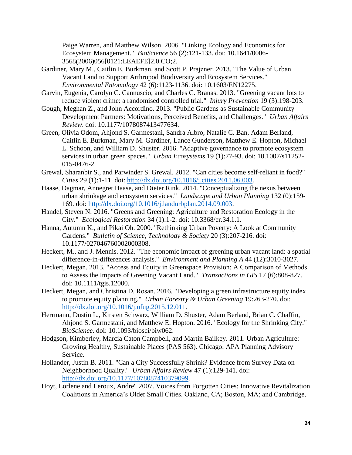Paige Warren, and Matthew Wilson. 2006. "Linking Ecology and Economics for Ecosystem Management." *BioScience* 56 (2):121-133. doi: 10.1641/0006- 3568(2006)056[0121:LEAEFE]2.0.CO;2.

- Gardiner, Mary M., Caitlin E. Burkman, and Scott P. Prajzner. 2013. "The Value of Urban Vacant Land to Support Arthropod Biodiversity and Ecosystem Services." *Environmental Entomology* 42 (6):1123-1136. doi: 10.1603/EN12275.
- Garvin, Eugenia, Carolyn C. Cannuscio, and Charles C. Branas. 2013. "Greening vacant lots to reduce violent crime: a randomised controlled trial." *Injury Prevention* 19 (3):198-203.
- Gough, Meghan Z., and John Accordino. 2013. "Public Gardens as Sustainable Community Development Partners: Motivations, Perceived Benefits, and Challenges." *Urban Affairs Review*. doi: 10.1177/1078087413477634.
- Green, Olivia Odom, Ahjond S. Garmestani, Sandra Albro, Natalie C. Ban, Adam Berland, Caitlin E. Burkman, Mary M. Gardiner, Lance Gunderson, Matthew E. Hopton, Michael L. Schoon, and William D. Shuster. 2016. "Adaptive governance to promote ecosystem services in urban green spaces." *Urban Ecosystems* 19 (1):77-93. doi: 10.1007/s11252- 015-0476-2.
- Grewal, Sharanbir S., and Parwinder S. Grewal. 2012. "Can cities become self-reliant in food?" *Cities* 29 (1):1-11. doi: [http://dx.doi.org/10.1016/j.cities.2011.06.003.](http://dx.doi.org/10.1016/j.cities.2011.06.003)
- Haase, Dagmar, Annegret Haase, and Dieter Rink. 2014. "Conceptualizing the nexus between urban shrinkage and ecosystem services." *Landscape and Urban Planning* 132 (0):159- 169. doi: [http://dx.doi.org/10.1016/j.landurbplan.2014.09.003.](http://dx.doi.org/10.1016/j.landurbplan.2014.09.003)
- Handel, Steven N. 2016. "Greens and Greening: Agriculture and Restoration Ecology in the City." *Ecological Restoration* 34 (1):1-2. doi: 10.3368/er.34.1.1.
- Hanna, Autumn K., and Pikai Oh. 2000. "Rethinking Urban Poverty: A Look at Community Gardens." *Bulletin of Science, Technology & Society* 20 (3):207-216. doi: 10.1177/027046760002000308.
- Heckert, M., and J. Mennis. 2012. "The economic impact of greening urban vacant land: a spatial difference-in-differences analysis." *Environment and Planning A* 44 (12):3010-3027.
- Heckert, Megan. 2013. "Access and Equity in Greenspace Provision: A Comparison of Methods to Assess the Impacts of Greening Vacant Land." *Transactions in GIS* 17 (6):808-827. doi: 10.1111/tgis.12000.
- Heckert, Megan, and Christina D. Rosan. 2016. "Developing a green infrastructure equity index to promote equity planning." *Urban Forestry & Urban Greening* 19:263-270. doi: [http://dx.doi.org/10.1016/j.ufug.2015.12.011.](http://dx.doi.org/10.1016/j.ufug.2015.12.011)
- Herrmann, Dustin L., Kirsten Schwarz, William D. Shuster, Adam Berland, Brian C. Chaffin, Ahjond S. Garmestani, and Matthew E. Hopton. 2016. "Ecology for the Shrinking City." *BioScience*. doi: 10.1093/biosci/biw062.
- Hodgson, Kimberley, Marcia Caton Campbell, and Martin Bailkey. 2011. Urban Agriculture: Growing Healthy, Sustainable Places (PAS 563). Chicago: APA Planning Advisory Service.
- Hollander, Justin B. 2011. "Can a City Successfully Shrink? Evidence from Survey Data on Neighborhood Quality." *Urban Affairs Review* 47 (1):129-141. doi: [http://dx.doi.org/10.1177/1078087410379099.](http://dx.doi.org/10.1177/1078087410379099)
- Hoyt, Lorlene and Leroux, Andre'. 2007. Voices from Forgotten Cities: Innovative Revitalization Coalitions in America's Older Small Cities. Oakland, CA; Boston, MA; and Cambridge,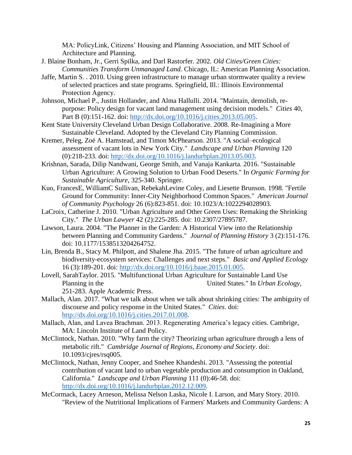MA: PolicyLink, Citizens' Housing and Planning Association, and MIT School of Architecture and Planning.

- J. Blaine Bonham, Jr., Gerri Spilka, and Darl Rastorfer. 2002. *Old Cities/Green Cities: Communities Transform Unmanaged Land.* Chicago, IL: American Planning Association.
- Jaffe, Martin S. . 2010. Using green infrastructure to manage urban stormwater quality a review of selected practices and state programs. Springfield, Ill.: Illinois Environmental Protection Agency.
- Johnson, Michael P., Justin Hollander, and Alma Hallulli. 2014. "Maintain, demolish, repurpose: Policy design for vacant land management using decision models." *Cities* 40, Part B (0):151-162. doi: [http://dx.doi.org/10.1016/j.cities.2013.05.005.](http://dx.doi.org/10.1016/j.cities.2013.05.005)
- Kent State University Cleveland Urban Design Collaborative. 2008. Re-Imagining a More Sustainable Cleveland. Adopted by the Cleveland City Planning Commission.
- Kremer, Peleg, Zoé A. Hamstead, and Timon McPhearson. 2013. "A social–ecological assessment of vacant lots in New York City." *Landscape and Urban Planning* 120 (0):218-233. doi: [http://dx.doi.org/10.1016/j.landurbplan.2013.05.003.](http://dx.doi.org/10.1016/j.landurbplan.2013.05.003)
- Krishnan, Sarada, Dilip Nandwani, George Smith, and Vanaja Kankarta. 2016. "Sustainable Urban Agriculture: A Growing Solution to Urban Food Deserts." In *Organic Farming for Sustainable Agriculture*, 325-340. Springer.
- Kuo, FrancesE, WilliamC Sullivan, RebekahLevine Coley, and Liesette Brunson. 1998. "Fertile Ground for Community: Inner-City Neighborhood Common Spaces." *American Journal of Community Psychology* 26 (6):823-851. doi: 10.1023/A:1022294028903.
- LaCroix, Catherine J. 2010. "Urban Agriculture and Other Green Uses: Remaking the Shrinking City." *The Urban Lawyer* 42 (2):225-285. doi: 10.2307/27895787.
- Lawson, Laura. 2004. "The Planner in the Garden: A Historical View into the Relationship between Planning and Community Gardens." *Journal of Planning History* 3 (2):151-176. doi: 10.1177/1538513204264752.
- Lin, Brenda B., Stacy M. Philpott, and Shalene Jha. 2015. "The future of urban agriculture and biodiversity-ecosystem services: Challenges and next steps." *Basic and Applied Ecology* 16 (3):189-201. doi: [http://dx.doi.org/10.1016/j.baae.2015.01.005.](http://dx.doi.org/10.1016/j.baae.2015.01.005)
- Lovell, SarahTaylor. 2015. "Multifunctional Urban Agriculture for Sustainable Land Use Planning in the United States." In *Urban Ecology*,

251-283. Apple Academic Press.

- Mallach, Alan. 2017. "What we talk about when we talk about shrinking cities: The ambiguity of discourse and policy response in the United States." *Cities*. doi: [http://dx.doi.org/10.1016/j.cities.2017.01.008.](http://dx.doi.org/10.1016/j.cities.2017.01.008)
- Mallach, Alan, and Lavea Brachman. 2013. Regenerating America's legacy cities. Cambrige, MA: Lincoln Institute of Land Policy.
- McClintock, Nathan. 2010. "Why farm the city? Theorizing urban agriculture through a lens of metabolic rift." *Cambridge Journal of Regions, Economy and Society*. doi: 10.1093/cjres/rsq005.
- McClintock, Nathan, Jenny Cooper, and Snehee Khandeshi. 2013. "Assessing the potential contribution of vacant land to urban vegetable production and consumption in Oakland, California." *Landscape and Urban Planning* 111 (0):46-58. doi: [http://dx.doi.org/10.1016/j.landurbplan.2012.12.009.](http://dx.doi.org/10.1016/j.landurbplan.2012.12.009)
- McCormack, Lacey Arneson, Melissa Nelson Laska, Nicole I. Larson, and Mary Story. 2010. "Review of the Nutritional Implications of Farmers' Markets and Community Gardens: A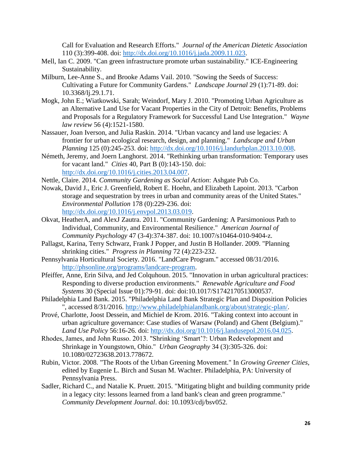Call for Evaluation and Research Efforts." *Journal of the American Dietetic Association* 110 (3):399-408. doi: [http://dx.doi.org/10.1016/j.jada.2009.11.023.](http://dx.doi.org/10.1016/j.jada.2009.11.023)

- Mell, Ian C. 2009. "Can green infrastructure promote urban sustainability." ICE-Engineering Sustainability.
- Milburn, Lee-Anne S., and Brooke Adams Vail. 2010. "Sowing the Seeds of Success: Cultivating a Future for Community Gardens." *Landscape Journal* 29 (1):71-89. doi: 10.3368/lj.29.1.71.
- Mogk, John E.; Wiatkowski, Sarah; Weindorf, Mary J. 2010. "Promoting Urban Agriculture as an Alternative Land Use for Vacant Properties in the City of Detroit: Benefits, Problems and Proposals for a Regulatory Framework for Successful Land Use Integration." *Wayne law review* 56 (4):1521-1580.
- Nassauer, Joan Iverson, and Julia Raskin. 2014. "Urban vacancy and land use legacies: A frontier for urban ecological research, design, and planning." *Landscape and Urban Planning* 125 (0):245-253. doi: [http://dx.doi.org/10.1016/j.landurbplan.2013.10.008.](http://dx.doi.org/10.1016/j.landurbplan.2013.10.008)
- Németh, Jeremy, and Joern Langhorst. 2014. "Rethinking urban transformation: Temporary uses for vacant land." *Cities* 40, Part B (0):143-150. doi: [http://dx.doi.org/10.1016/j.cities.2013.04.007.](http://dx.doi.org/10.1016/j.cities.2013.04.007)
- Nettle, Claire. 2014. *Community Gardening as Social Action*: Ashgate Pub Co.
- Nowak, David J., Eric J. Greenfield, Robert E. Hoehn, and Elizabeth Lapoint. 2013. "Carbon storage and sequestration by trees in urban and community areas of the United States." *Environmental Pollution* 178 (0):229-236. doi: [http://dx.doi.org/10.1016/j.envpol.2013.03.019.](http://dx.doi.org/10.1016/j.envpol.2013.03.019)
- Okvat, HeatherA, and AlexJ Zautra. 2011. "Community Gardening: A Parsimonious Path to Individual, Community, and Environmental Resilience." *American Journal of Community Psychology* 47 (3-4):374-387. doi: 10.1007/s10464-010-9404-z.
- Pallagst, Karina, Terry Schwarz, Frank J Popper, and Justin B Hollander. 2009. "Planning shrinking cities." *Progress in Planning* 72 (4):223-232.
- Pennsylvania Horticultural Society. 2016. "LandCare Program." accessed 08/31/2016. [http://phsonline.org/programs/landcare-program.](http://phsonline.org/programs/landcare-program)
- Pfeiffer, Anne, Erin Silva, and Jed Colquhoun. 2015. "Innovation in urban agricultural practices: Responding to diverse production environments." *Renewable Agriculture and Food Systems* 30 (Special Issue 01):79-91. doi: doi:10.1017/S1742170513000537.
- Philadelphia Land Bank. 2015. "Philadelphia Land Bank Strategic Plan and Disposition Policies ", accessed 8/31/2016. [http://www.philadelphialandbank.org/about/strategic-plan/.](http://www.philadelphialandbank.org/about/strategic-plan/)
- Prové, Charlotte, Joost Dessein, and Michiel de Krom. 2016. "Taking context into account in urban agriculture governance: Case studies of Warsaw (Poland) and Ghent (Belgium)." *Land Use Policy* 56:16-26. doi: [http://dx.doi.org/10.1016/j.landusepol.2016.04.025.](http://dx.doi.org/10.1016/j.landusepol.2016.04.025)
- Rhodes, James, and John Russo. 2013. "Shrinking 'Smart'?: Urban Redevelopment and Shrinkage in Youngstown, Ohio." *Urban Geography* 34 (3):305-326. doi: 10.1080/02723638.2013.778672.
- Rubin, Victor. 2008. "The Roots of the Urban Greening Movement." In *Growing Greener Cities*, edited by Eugenie L. Birch and Susan M. Wachter. Philadelphia, PA: University of Pennsylvania Press.
- Sadler, Richard C., and Natalie K. Pruett. 2015. "Mitigating blight and building community pride in a legacy city: lessons learned from a land bank's clean and green programme." *Community Development Journal*. doi: 10.1093/cdj/bsv052.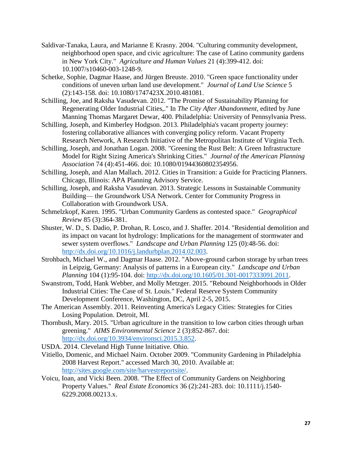- Saldivar-Tanaka, Laura, and Marianne E Krasny. 2004. "Culturing community development, neighborhood open space, and civic agriculture: The case of Latino community gardens in New York City." *Agriculture and Human Values* 21 (4):399-412. doi: 10.1007/s10460-003-1248-9.
- Schetke, Sophie, Dagmar Haase, and Jürgen Breuste. 2010. "Green space functionality under conditions of uneven urban land use development." *Journal of Land Use Science* 5 (2):143-158. doi: 10.1080/1747423X.2010.481081.
- Schilling, Joe, and Raksha Vasudevan. 2012. "The Promise of Sustainability Planning for Regenerating Older Industrial Cities,." In *The City After Abandonment*, edited by June Manning Thomas Margaret Dewar, 400. Philadelphia: University of Pennsylvania Press.
- Schilling, Joseph, and Kimberley Hodgson. 2013. Philadelphia's vacant property journey: fostering collaborative alliances with converging policy reform. Vacant Property Research Network, A Research Initiative of the Metropolitan Institute of Virginia Tech.
- Schilling, Joseph, and Jonathan Logan. 2008. "Greening the Rust Belt: A Green Infrastructure Model for Right Sizing America's Shrinking Cities." *Journal of the American Planning Association* 74 (4):451-466. doi: 10.1080/01944360802354956.
- Schilling, Joseph, and Alan Mallach. 2012. Cities in Transition: a Guide for Practicing Planners. Chicago, Illinois: APA Planning Advisory Service.
- Schilling, Joseph, and Raksha Vasudevan. 2013. Strategic Lessons in Sustainable Community Building— the Groundwork USA Network. Center for Community Progress in Collaboration with Groundwork USA.
- Schmelzkopf, Karen. 1995. "Urban Community Gardens as contested space." *Geographical Review* 85 (3):364-381.
- Shuster, W. D., S. Dadio, P. Drohan, R. Losco, and J. Shaffer. 2014. "Residential demolition and its impact on vacant lot hydrology: Implications for the management of stormwater and sewer system overflows." *Landscape and Urban Planning* 125 (0):48-56. doi: [http://dx.doi.org/10.1016/j.landurbplan.2014.02.003.](http://dx.doi.org/10.1016/j.landurbplan.2014.02.003)
- Strohbach, Michael W., and Dagmar Haase. 2012. "Above-ground carbon storage by urban trees in Leipzig, Germany: Analysis of patterns in a European city." *Landscape and Urban Planning* 104 (1):95-104. doi: [http://dx.doi.org/10.1605/01.301-0017333091.2011.](http://dx.doi.org/10.1605/01.301-0017333091.2011)
- Swanstrom, Todd, Hank Webber, and Molly Metzger. 2015. "Rebound Neighborhoods in Older Industrial Cities: The Case of St. Louis." Federal Reserve System Community Development Conference, Washington, DC, April 2-5, 2015.
- The American Assembly. 2011. Reinventing America's Legacy Cities: Strategies for Cities Losing Population. Detroit, MI.
- Thornbush, Mary. 2015. "Urban agriculture in the transition to low carbon cities through urban greening." *AIMS Environmental Science* 2 (3):852-867. doi: [http://dx.doi.org/10.3934/environsci.2015.3.852.](http://dx.doi.org/10.3934/environsci.2015.3.852)
- USDA. 2014. Cleveland High Tunne lnitiative. Ohio.
- Vitiello, Domenic, and Michael Nairn. October 2009. "Community Gardening in Philadelphia 2008 Harvest Report." accessed March 30, 2010. Available at: [http://sites.google.com/site/harvestreportsite/.](http://sites.google.com/site/harvestreportsite/)
- Voicu, Ioan, and Vicki Been. 2008. "The Effect of Community Gardens on Neighboring Property Values." *Real Estate Economics* 36 (2):241-283. doi: 10.1111/j.1540- 6229.2008.00213.x.